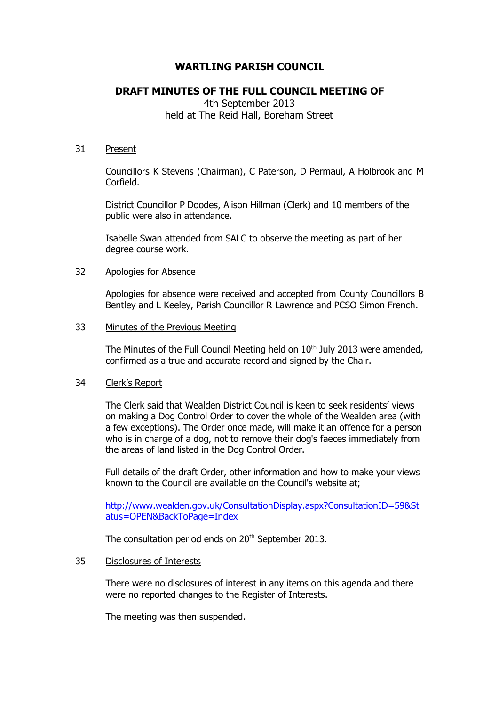# **WARTLING PARISH COUNCIL**

## **DRAFT MINUTES OF THE FULL COUNCIL MEETING OF**

4th September 2013 held at The Reid Hall, Boreham Street

#### 31 Present

Councillors K Stevens (Chairman), C Paterson, D Permaul, A Holbrook and M Corfield.

District Councillor P Doodes, Alison Hillman (Clerk) and 10 members of the public were also in attendance.

Isabelle Swan attended from SALC to observe the meeting as part of her degree course work.

#### 32 Apologies for Absence

Apologies for absence were received and accepted from County Councillors B Bentley and L Keeley, Parish Councillor R Lawrence and PCSO Simon French.

#### 33 Minutes of the Previous Meeting

The Minutes of the Full Council Meeting held on 10<sup>th</sup> July 2013 were amended, confirmed as a true and accurate record and signed by the Chair.

### 34 Clerk's Report

The Clerk said that Wealden District Council is keen to seek residents' views on making a Dog Control Order to cover the whole of the Wealden area (with a few exceptions). The Order once made, will make it an offence for a person who is in charge of a dog, not to remove their dog's faeces immediately from the areas of land listed in the Dog Control Order.

Full details of the draft Order, other information and how to make your views known to the Council are available on the Council's website at;

[http://www.wealden.gov.uk/ConsultationDisplay.aspx?ConsultationID=59&St](http://www.wealden.gov.uk/ConsultationDisplay.aspx?ConsultationID=59&Status=OPEN&BackToPage=Index) [atus=OPEN&BackToPage=Index](http://www.wealden.gov.uk/ConsultationDisplay.aspx?ConsultationID=59&Status=OPEN&BackToPage=Index)

The consultation period ends on 20<sup>th</sup> September 2013.

#### 35 Disclosures of Interests

There were no disclosures of interest in any items on this agenda and there were no reported changes to the Register of Interests.

The meeting was then suspended.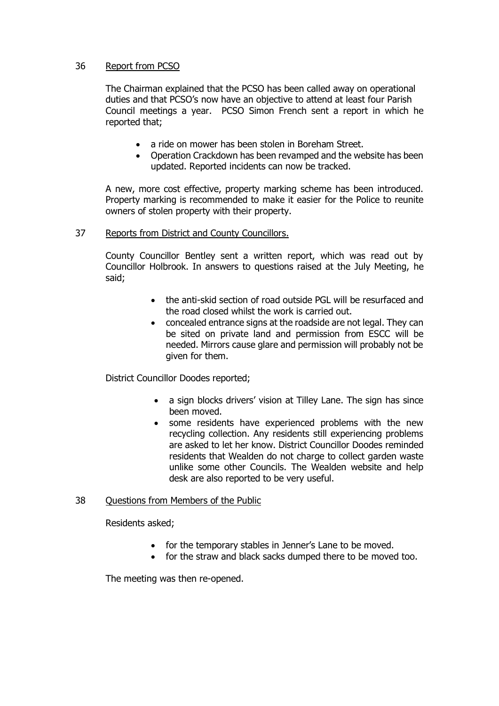### 36 Report from PCSO

The Chairman explained that the PCSO has been called away on operational duties and that PCSO's now have an objective to attend at least four Parish Council meetings a year. PCSO Simon French sent a report in which he reported that;

- a ride on mower has been stolen in Boreham Street.
- Operation Crackdown has been revamped and the website has been updated. Reported incidents can now be tracked.

A new, more cost effective, property marking scheme has been introduced. Property marking is recommended to make it easier for the Police to reunite owners of stolen property with their property.

37 Reports from District and County Councillors.

County Councillor Bentley sent a written report, which was read out by Councillor Holbrook. In answers to questions raised at the July Meeting, he said;

- the anti-skid section of road outside PGL will be resurfaced and the road closed whilst the work is carried out.
- concealed entrance signs at the roadside are not legal. They can be sited on private land and permission from ESCC will be needed. Mirrors cause glare and permission will probably not be given for them.

District Councillor Doodes reported;

- a sign blocks drivers' vision at Tilley Lane. The sign has since been moved.
- some residents have experienced problems with the new recycling collection. Any residents still experiencing problems are asked to let her know. District Councillor Doodes reminded residents that Wealden do not charge to collect garden waste unlike some other Councils. The Wealden website and help desk are also reported to be very useful.

### 38 Questions from Members of the Public

Residents asked;

- for the temporary stables in Jenner's Lane to be moved.
- for the straw and black sacks dumped there to be moved too.

The meeting was then re-opened.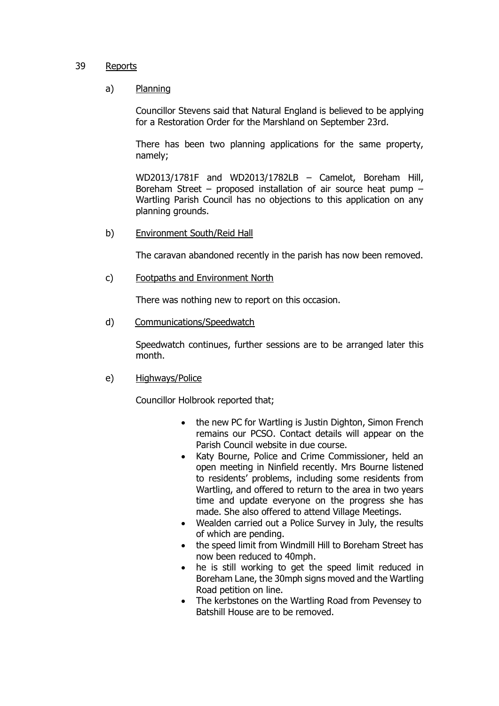#### 39 Reports

#### a) Planning

Councillor Stevens said that Natural England is believed to be applying for a Restoration Order for the Marshland on September 23rd.

There has been two planning applications for the same property, namely;

WD2013/1781F and WD2013/1782LB – Camelot, Boreham Hill, Boreham Street – proposed installation of air source heat pump – Wartling Parish Council has no objections to this application on any planning grounds.

b) Environment South/Reid Hall

The caravan abandoned recently in the parish has now been removed.

c) Footpaths and Environment North

There was nothing new to report on this occasion.

d) Communications/Speedwatch

Speedwatch continues, further sessions are to be arranged later this month.

### e) Highways/Police

Councillor Holbrook reported that;

- the new PC for Wartling is Justin Dighton, Simon French remains our PCSO. Contact details will appear on the Parish Council website in due course.
- Katy Bourne, Police and Crime Commissioner, held an open meeting in Ninfield recently. Mrs Bourne listened to residents' problems, including some residents from Wartling, and offered to return to the area in two years time and update everyone on the progress she has made. She also offered to attend Village Meetings.
- Wealden carried out a Police Survey in July, the results of which are pending.
- the speed limit from Windmill Hill to Boreham Street has now been reduced to 40mph.
- he is still working to get the speed limit reduced in Boreham Lane, the 30mph signs moved and the Wartling Road petition on line.
- The kerbstones on the Wartling Road from Pevensey to Batshill House are to be removed.